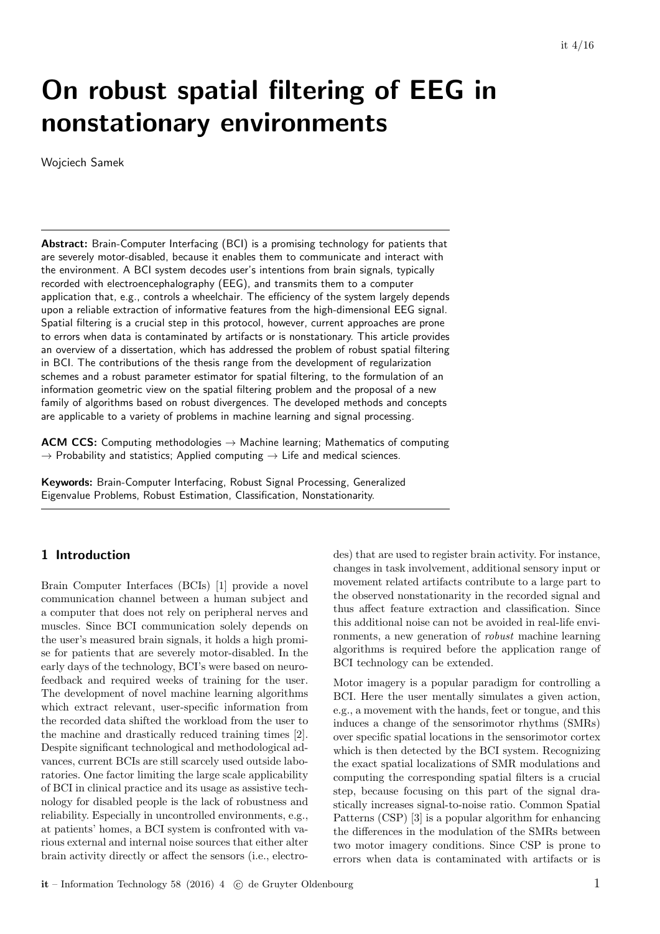# On robust spatial filtering of EEG in nonstationary environments

Wojciech Samek

Abstract: Brain-Computer Interfacing (BCI) is a promising technology for patients that are severely motor-disabled, because it enables them to communicate and interact with the environment. A BCI system decodes user's intentions from brain signals, typically recorded with electroencephalography (EEG), and transmits them to a computer application that, e.g., controls a wheelchair. The efficiency of the system largely depends upon a reliable extraction of informative features from the high-dimensional EEG signal. Spatial filtering is a crucial step in this protocol, however, current approaches are prone to errors when data is contaminated by artifacts or is nonstationary. This article provides an overview of a dissertation, which has addressed the problem of robust spatial filtering in BCI. The contributions of the thesis range from the development of regularization schemes and a robust parameter estimator for spatial filtering, to the formulation of an information geometric view on the spatial filtering problem and the proposal of a new family of algorithms based on robust divergences. The developed methods and concepts are applicable to a variety of problems in machine learning and signal processing.

**ACM CCS:** Computing methodologies  $\rightarrow$  Machine learning; Mathematics of computing  $\rightarrow$  Probability and statistics; Applied computing  $\rightarrow$  Life and medical sciences.

Keywords: Brain-Computer Interfacing, Robust Signal Processing, Generalized Eigenvalue Problems, Robust Estimation, Classification, Nonstationarity.

## 1 Introduction

Brain Computer Interfaces (BCIs) [1] provide a novel communication channel between a human subject and a computer that does not rely on peripheral nerves and muscles. Since BCI communication solely depends on the user's measured brain signals, it holds a high promise for patients that are severely motor-disabled. In the early days of the technology, BCI's were based on neurofeedback and required weeks of training for the user. The development of novel machine learning algorithms which extract relevant, user-specific information from the recorded data shifted the workload from the user to the machine and drastically reduced training times [2]. Despite significant technological and methodological advances, current BCIs are still scarcely used outside laboratories. One factor limiting the large scale applicability of BCI in clinical practice and its usage as assistive technology for disabled people is the lack of robustness and reliability. Especially in uncontrolled environments, e.g., at patients' homes, a BCI system is confronted with various external and internal noise sources that either alter brain activity directly or affect the sensors (i.e., electrodes) that are used to register brain activity. For instance, changes in task involvement, additional sensory input or movement related artifacts contribute to a large part to the observed nonstationarity in the recorded signal and thus affect feature extraction and classification. Since this additional noise can not be avoided in real-life environments, a new generation of robust machine learning algorithms is required before the application range of BCI technology can be extended.

Motor imagery is a popular paradigm for controlling a BCI. Here the user mentally simulates a given action, e.g., a movement with the hands, feet or tongue, and this induces a change of the sensorimotor rhythms (SMRs) over specific spatial locations in the sensorimotor cortex which is then detected by the BCI system. Recognizing the exact spatial localizations of SMR modulations and computing the corresponding spatial filters is a crucial step, because focusing on this part of the signal drastically increases signal-to-noise ratio. Common Spatial Patterns (CSP) [3] is a popular algorithm for enhancing the differences in the modulation of the SMRs between two motor imagery conditions. Since CSP is prone to errors when data is contaminated with artifacts or is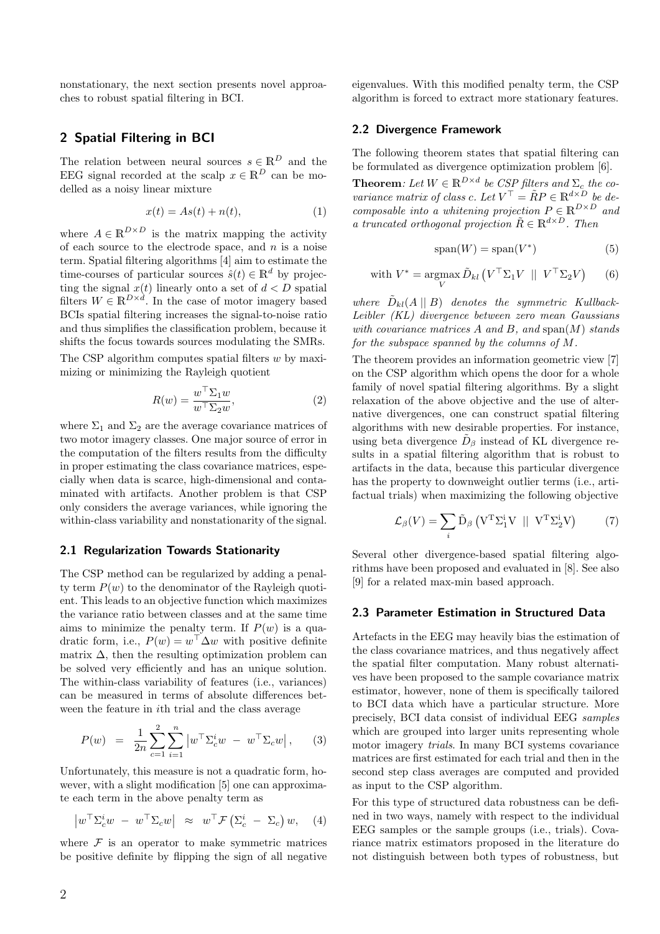nonstationary, the next section presents novel approaches to robust spatial filtering in BCI.

## 2 Spatial Filtering in BCI

The relation between neural sources  $s \in \mathbb{R}^D$  and the EEG signal recorded at the scalp  $x \in \mathbb{R}^D$  can be modelled as a noisy linear mixture

$$
x(t) = As(t) + n(t),
$$
\n(1)

where  $A \in \mathbb{R}^{D \times D}$  is the matrix mapping the activity of each source to the electrode space, and  $n$  is a noise term. Spatial filtering algorithms [4] aim to estimate the time-courses of particular sources  $\hat{s}(t) \in \mathbb{R}^d$  by projecting the signal  $x(t)$  linearly onto a set of  $d < D$  spatial filters  $W \in \mathbb{R}^{D \times d}$ . In the case of motor imagery based BCIs spatial filtering increases the signal-to-noise ratio and thus simplifies the classification problem, because it shifts the focus towards sources modulating the SMRs.

The CSP algorithm computes spatial filters  $w$  by maximizing or minimizing the Rayleigh quotient

$$
R(w) = \frac{w^{\top} \Sigma_1 w}{w^{\top} \Sigma_2 w},
$$
\n(2)

where  $\Sigma_1$  and  $\Sigma_2$  are the average covariance matrices of two motor imagery classes. One major source of error in the computation of the filters results from the difficulty in proper estimating the class covariance matrices, especially when data is scarce, high-dimensional and contaminated with artifacts. Another problem is that CSP only considers the average variances, while ignoring the within-class variability and nonstationarity of the signal.

#### 2.1 Regularization Towards Stationarity

The CSP method can be regularized by adding a penalty term  $P(w)$  to the denominator of the Rayleigh quotient. This leads to an objective function which maximizes the variance ratio between classes and at the same time aims to minimize the penalty term. If  $P(w)$  is a quadratic form, i.e.,  $P(w) = w^{\top} \Delta w$  with positive definite matrix  $\Delta$ , then the resulting optimization problem can be solved very efficiently and has an unique solution. The within-class variability of features (i.e., variances) can be measured in terms of absolute differences between the feature in ith trial and the class average

$$
P(w) = \frac{1}{2n} \sum_{c=1}^{2} \sum_{i=1}^{n} |w^{\top} \Sigma_{c}^{i} w - w^{\top} \Sigma_{c} w|, \quad (3)
$$

Unfortunately, this measure is not a quadratic form, however, with a slight modification [5] one can approximate each term in the above penalty term as

$$
\left| w^{\top} \Sigma_c^i w - w^{\top} \Sigma_c w \right| \approx w^{\top} \mathcal{F} \left( \Sigma_c^i - \Sigma_c \right) w, \quad (4)
$$

where  $\mathcal F$  is an operator to make symmetric matrices be positive definite by flipping the sign of all negative eigenvalues. With this modified penalty term, the CSP algorithm is forced to extract more stationary features.

#### 2.2 Divergence Framework

The following theorem states that spatial filtering can be formulated as divergence optimization problem [6].

**Theorem:** Let  $W \in \mathbb{R}^{D \times d}$  be CSP filters and  $\Sigma_c$  the covariance matrix of class c. Let  $V^{\top} = \tilde{R}P \in \mathbb{R}^{d \times D}$  be decomposable into a whitening projection  $P \in \mathbb{R}^{D \times D}$  and a truncated orthogonal projection  $\tilde{R} \in \mathbb{R}^{d \times D}$ . Then

$$
span(W) = span(V^*)
$$
 (5)

with 
$$
V^* = \underset{V}{\text{argmax}} \tilde{D}_{kl} (V^{\top} \Sigma_1 V || V^{\top} \Sigma_2 V)
$$
 (6)

where  $\tilde{D}_{kl}(A \parallel B)$  denotes the symmetric Kullback-Leibler (KL) divergence between zero mean Gaussians with covariance matrices A and B, and span $(M)$  stands for the subspace spanned by the columns of M.

The theorem provides an information geometric view [7] on the CSP algorithm which opens the door for a whole family of novel spatial filtering algorithms. By a slight relaxation of the above objective and the use of alternative divergences, one can construct spatial filtering algorithms with new desirable properties. For instance, using beta divergence  $\tilde{D}_{\beta}$  instead of KL divergence results in a spatial filtering algorithm that is robust to artifacts in the data, because this particular divergence has the property to downweight outlier terms (i.e., artifactual trials) when maximizing the following objective

$$
\mathcal{L}_{\beta}(V) = \sum_{i} \tilde{\mathbf{D}}_{\beta} \left( \mathbf{V}^{\mathrm{T}} \Sigma_{1}^{i} \mathbf{V} \parallel \mathbf{V}^{\mathrm{T}} \Sigma_{2}^{i} \mathbf{V} \right) \tag{7}
$$

Several other divergence-based spatial filtering algorithms have been proposed and evaluated in [8]. See also [9] for a related max-min based approach.

#### 2.3 Parameter Estimation in Structured Data

Artefacts in the EEG may heavily bias the estimation of the class covariance matrices, and thus negatively affect the spatial filter computation. Many robust alternatives have been proposed to the sample covariance matrix estimator, however, none of them is specifically tailored to BCI data which have a particular structure. More precisely, BCI data consist of individual EEG samples which are grouped into larger units representing whole motor imagery trials. In many BCI systems covariance matrices are first estimated for each trial and then in the second step class averages are computed and provided as input to the CSP algorithm.

For this type of structured data robustness can be defined in two ways, namely with respect to the individual EEG samples or the sample groups (i.e., trials). Covariance matrix estimators proposed in the literature do not distinguish between both types of robustness, but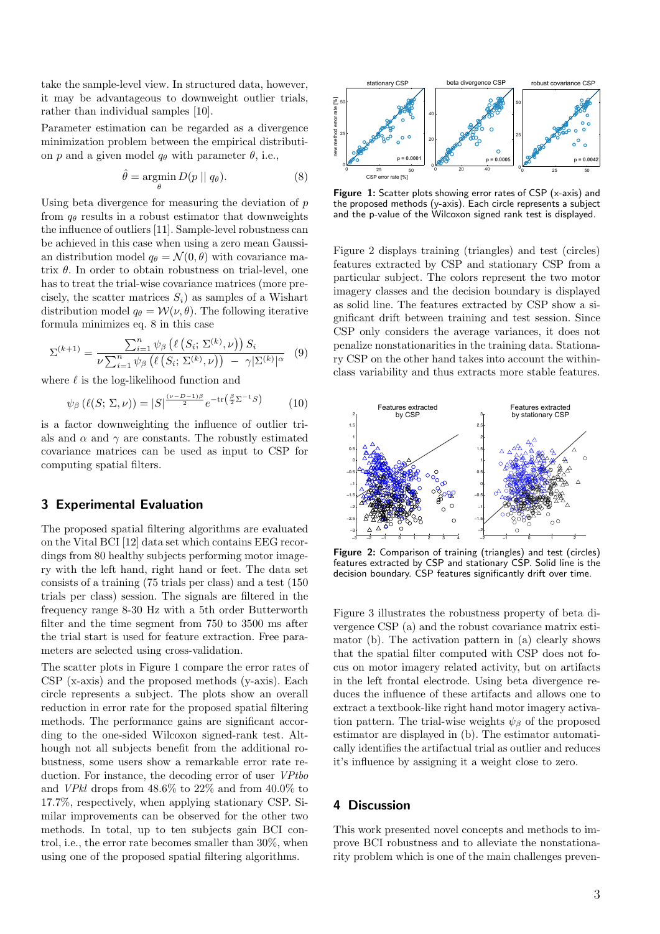take the sample-level view. In structured data, however, it may be advantageous to downweight outlier trials, rather than individual samples [10].

Parameter estimation can be regarded as a divergence minimization problem between the empirical distribution p and a given model  $q_{\theta}$  with parameter  $\theta$ , i.e.,

$$
\hat{\theta} = \underset{\theta}{\operatorname{argmin}} D(p \mid q_{\theta}). \tag{8}
$$

Using beta divergence for measuring the deviation of  $p$ from  $q_{\theta}$  results in a robust estimator that downweights the influence of outliers [11]. Sample-level robustness can be achieved in this case when using a zero mean Gaussian distribution model  $q_{\theta} = \mathcal{N}(0, \theta)$  with covariance matrix  $\theta$ . In order to obtain robustness on trial-level, one has to treat the trial-wise covariance matrices (more precisely, the scatter matrices  $S_i$ ) as samples of a Wishart distribution model  $q_{\theta} = \mathcal{W}(\nu, \theta)$ . The following iterative formula minimizes eq. 8 in this case

$$
\Sigma^{(k+1)} = \frac{\sum_{i=1}^{n} \psi_{\beta} \left( \ell \left( S_i; \Sigma^{(k)}, \nu \right) \right) S_i}{\nu \sum_{i=1}^{n} \psi_{\beta} \left( \ell \left( S_i; \Sigma^{(k)}, \nu \right) \right) - \gamma |\Sigma^{(k)}|^{\alpha}} \tag{9}
$$

where  $\ell$  is the log-likelihood function and

$$
\psi_{\beta}\left(\ell(S; \Sigma, \nu)\right) = |S|^{\frac{(\nu - D - 1)\beta}{2}} e^{-\text{tr}\left(\frac{\beta}{2}\Sigma^{-1}S\right)} \tag{10}
$$

is a factor downweighting the influence of outlier trials and  $\alpha$  and  $\gamma$  are constants. The robustly estimated covariance matrices can be used as input to CSP for computing spatial filters.

### 3 Experimental Evaluation

The proposed spatial filtering algorithms are evaluated on the Vital BCI [12] data set which contains EEG recordings from 80 healthy subjects performing motor imagery with the left hand, right hand or feet. The data set consists of a training (75 trials per class) and a test (150 trials per class) session. The signals are filtered in the frequency range 8-30 Hz with a 5th order Butterworth filter and the time segment from 750 to 3500 ms after the trial start is used for feature extraction. Free parameters are selected using cross-validation.

The scatter plots in Figure 1 compare the error rates of CSP (x-axis) and the proposed methods (y-axis). Each circle represents a subject. The plots show an overall reduction in error rate for the proposed spatial filtering methods. The performance gains are significant according to the one-sided Wilcoxon signed-rank test. Although not all subjects benefit from the additional robustness, some users show a remarkable error rate reduction. For instance, the decoding error of user *VPtbo* and VPkl drops from 48.6% to 22% and from 40.0% to 17.7%, respectively, when applying stationary CSP. Similar improvements can be observed for the other two methods. In total, up to ten subjects gain BCI control, i.e., the error rate becomes smaller than 30%, when using one of the proposed spatial filtering algorithms.



Figure 1: Scatter plots showing error rates of CSP (x-axis) and the proposed methods (y-axis). Each circle represents a subject and the p-value of the Wilcoxon signed rank test is displayed.

Figure 2 displays training (triangles) and test (circles) features extracted by CSP and stationary CSP from a particular subject. The colors represent the two motor imagery classes and the decision boundary is displayed as solid line. The features extracted by CSP show a significant drift between training and test session. Since CSP only considers the average variances, it does not penalize nonstationarities in the training data. Stationary CSP on the other hand takes into account the withinclass variability and thus extracts more stable features.



Figure 2: Comparison of training (triangles) and test (circles) features extracted by CSP and stationary CSP. Solid line is the decision boundary. CSP features significantly drift over time.

Figure 3 illustrates the robustness property of beta divergence CSP (a) and the robust covariance matrix estimator (b). The activation pattern in (a) clearly shows that the spatial filter computed with CSP does not focus on motor imagery related activity, but on artifacts in the left frontal electrode. Using beta divergence reduces the influence of these artifacts and allows one to extract a textbook-like right hand motor imagery activation pattern. The trial-wise weights  $\psi_{\beta}$  of the proposed estimator are displayed in (b). The estimator automatically identifies the artifactual trial as outlier and reduces it's influence by assigning it a weight close to zero.

#### 4 Discussion

This work presented novel concepts and methods to improve BCI robustness and to alleviate the nonstationarity problem which is one of the main challenges preven-